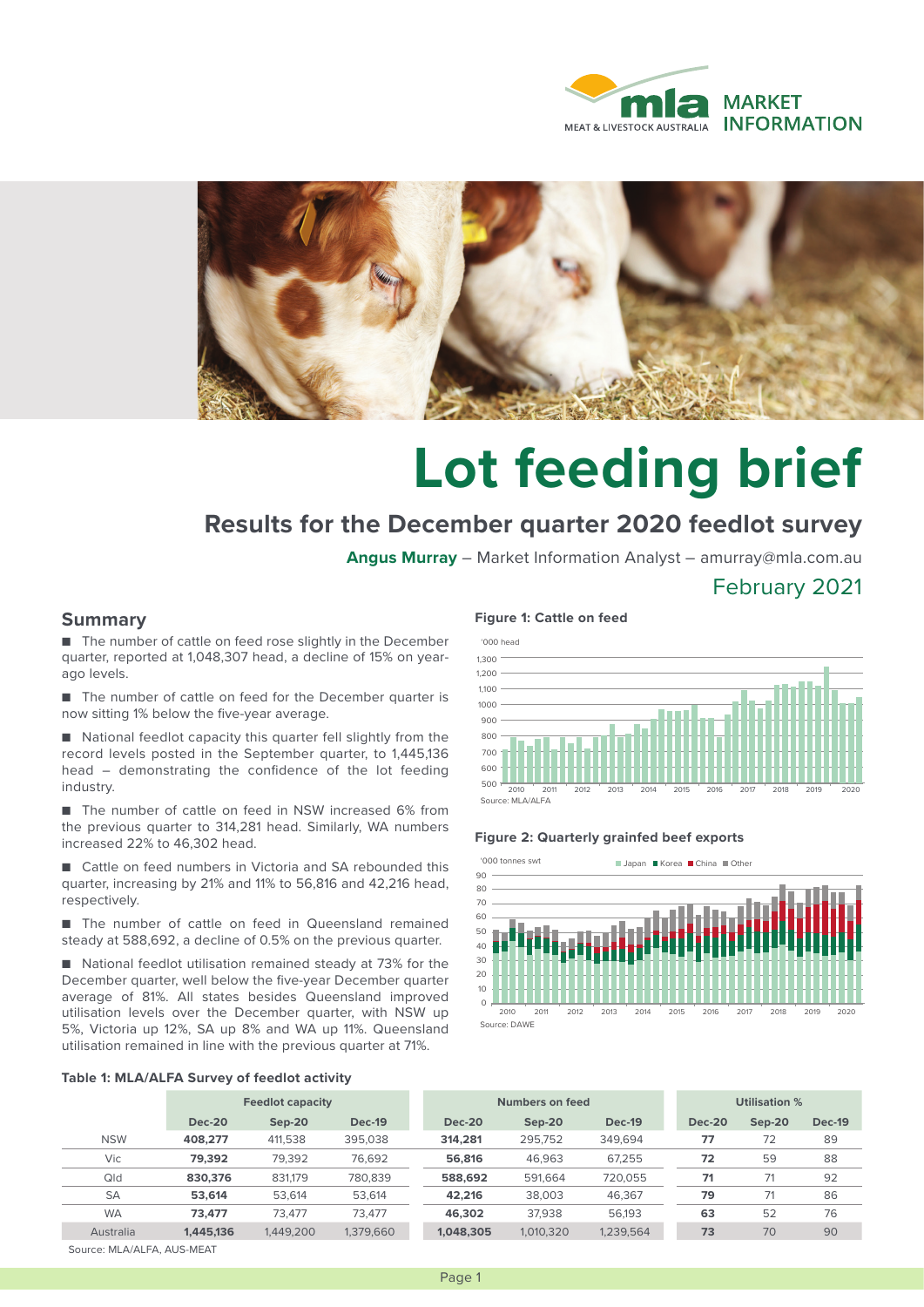



# **Lot feeding brief**

## **Results for the December quarter 2020 feedlot survey**

**Angus Murray** – Market Information Analyst – amurray@mla.com.au

### February 2021

#### **Summary**

■ The number of cattle on feed rose slightly in the December quarter, reported at 1,048,307 head, a decline of 15% on yearago levels.

■ The number of cattle on feed for the December quarter is now sitting 1% below the five-year average.

■ National feedlot capacity this quarter fell slightly from the record levels posted in the September quarter, to 1,445,136 head – demonstrating the confidence of the lot feeding industry.

■ The number of cattle on feed in NSW increased 6% from the previous quarter to 314,281 head. Similarly, WA numbers increased 22% to 46,302 head.

■ Cattle on feed numbers in Victoria and SA rebounded this quarter, increasing by 21% and 11% to 56,816 and 42,216 head, respectively.

■ The number of cattle on feed in Queensland remained steady at 588,692, a decline of 0.5% on the previous quarter.

■ National feedlot utilisation remained steady at 73% for the December quarter, well below the five-year December quarter average of 81%. All states besides Queensland improved utilisation levels over the December quarter, with NSW up 5%, Victoria up 12%, SA up 8% and WA up 11%. Queensland utilisation remained in line with the previous quarter at 71%.

#### **Figure 1: Cattle on feed**



#### **Figure 2: Quarterly grainfed beef exports**



#### **Table 1: MLA/ALFA Survey of feedlot activity**

|            | <b>Feedlot capacity</b> |           | Numbers on feed |               |           | Utilisation % |               |               |               |
|------------|-------------------------|-----------|-----------------|---------------|-----------|---------------|---------------|---------------|---------------|
|            | <b>Dec-20</b>           | $Sep-20$  | <b>Dec-19</b>   | <b>Dec-20</b> | $Sep-20$  | <b>Dec-19</b> | <b>Dec-20</b> | <b>Sep-20</b> | <b>Dec-19</b> |
| <b>NSW</b> | 408.277                 | 411,538   | 395,038         | 314,281       | 295.752   | 349.694       | 77            | 72            | 89            |
| Vic        | 79.392                  | 79,392    | 76.692          | 56,816        | 46,963    | 67.255        | 72            | 59            | 88            |
| Qld        | 830,376                 | 831.179   | 780.839         | 588,692       | 591.664   | 720.055       | 71            | 71            | 92            |
| <b>SA</b>  | 53,614                  | 53.614    | 53.614          | 42.216        | 38.003    | 46.367        | 79            | 71            | 86            |
| <b>WA</b>  | 73.477                  | 73.477    | 73.477          | 46,302        | 37.938    | 56.193        | 63            | 52            | 76            |
| Australia  | 1.445.136               | 1,449,200 | 1.379.660       | 1.048.305     | 1.010.320 | 1,239,564     | 73            | 70            | 90            |

Source: MLA/ALFA, AUS-MEAT